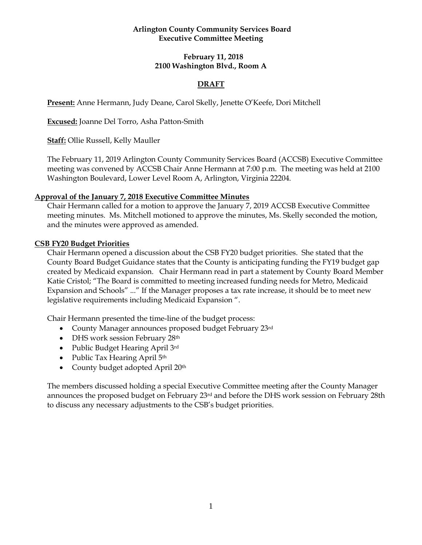#### **Arlington County Community Services Board Executive Committee Meeting**

### **February 11, 2018 2100 Washington Blvd., Room A**

# **DRAFT**

**Present:** Anne Hermann, Judy Deane, Carol Skelly, Jenette O'Keefe, Dori Mitchell

**Excused:** Joanne Del Torro, Asha Patton-Smith

**Staff:** Ollie Russell, Kelly Mauller

The February 11, 2019 Arlington County Community Services Board (ACCSB) Executive Committee meeting was convened by ACCSB Chair Anne Hermann at 7:00 p.m. The meeting was held at 2100 Washington Boulevard, Lower Level Room A, Arlington, Virginia 22204.

#### **Approval of the January 7, 2018 Executive Committee Minutes**

Chair Hermann called for a motion to approve the January 7, 2019 ACCSB Executive Committee meeting minutes. Ms. Mitchell motioned to approve the minutes, Ms. Skelly seconded the motion, and the minutes were approved as amended.

#### **CSB FY20 Budget Priorities**

Chair Hermann opened a discussion about the CSB FY20 budget priorities. She stated that the County Board Budget Guidance states that the County is anticipating funding the FY19 budget gap created by Medicaid expansion. Chair Hermann read in part a statement by County Board Member Katie Cristol; "The Board is committed to meeting increased funding needs for Metro, Medicaid Expansion and Schools" ..." If the Manager proposes a tax rate increase, it should be to meet new legislative requirements including Medicaid Expansion ".

Chair Hermann presented the time-line of the budget process:

- County Manager announces proposed budget February 23rd
- DHS work session February 28th
- Public Budget Hearing April 3rd
- Public Tax Hearing April 5<sup>th</sup>
- County budget adopted April 20<sup>th</sup>

The members discussed holding a special Executive Committee meeting after the County Manager announces the proposed budget on February 23rd and before the DHS work session on February 28th to discuss any necessary adjustments to the CSB's budget priorities.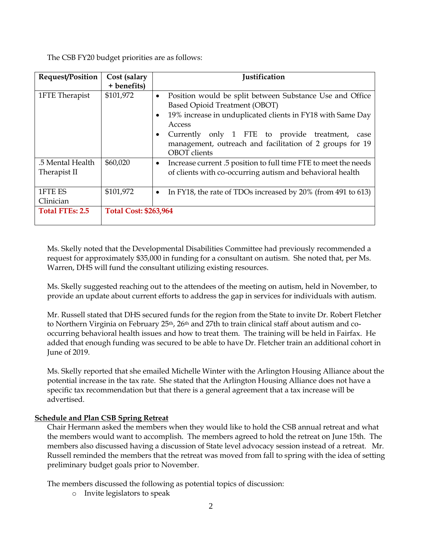The CSB FY20 budget priorities are as follows:

| Request/Position                 | Cost (salary                 | <b>Justification</b>                                                                                                                                                                                                                                                                                                       |
|----------------------------------|------------------------------|----------------------------------------------------------------------------------------------------------------------------------------------------------------------------------------------------------------------------------------------------------------------------------------------------------------------------|
|                                  | + benefits)                  |                                                                                                                                                                                                                                                                                                                            |
| 1FTE Therapist                   | \$101,972                    | Position would be split between Substance Use and Office<br>$\bullet$<br>Based Opioid Treatment (OBOT)<br>19% increase in unduplicated clients in FY18 with Same Day<br>Access<br>only 1 FTE to provide treatment,<br>Currently<br>case<br>management, outreach and facilitation of 2 groups for 19<br><b>OBOT</b> clients |
| .5 Mental Health<br>Therapist II | \$60,020                     | Increase current .5 position to full time FTE to meet the needs<br>٠<br>of clients with co-occurring autism and behavioral health                                                                                                                                                                                          |
| 1FTE ES<br>Clinician             | \$101,972                    | In FY18, the rate of TDOs increased by 20% (from 491 to 613)<br>$\bullet$                                                                                                                                                                                                                                                  |
| <b>Total FTEs: 2.5</b>           | <b>Total Cost: \$263,964</b> |                                                                                                                                                                                                                                                                                                                            |

Ms. Skelly noted that the Developmental Disabilities Committee had previously recommended a request for approximately \$35,000 in funding for a consultant on autism. She noted that, per Ms. Warren, DHS will fund the consultant utilizing existing resources.

Ms. Skelly suggested reaching out to the attendees of the meeting on autism, held in November, to provide an update about current efforts to address the gap in services for individuals with autism.

Mr. Russell stated that DHS secured funds for the region from the State to invite Dr. Robert Fletcher to Northern Virginia on February 25<sup>th</sup>, 26<sup>th</sup> and 27th to train clinical staff about autism and cooccurring behavioral health issues and how to treat them. The training will be held in Fairfax. He added that enough funding was secured to be able to have Dr. Fletcher train an additional cohort in June of 2019.

Ms. Skelly reported that she emailed Michelle Winter with the Arlington Housing Alliance about the potential increase in the tax rate. She stated that the Arlington Housing Alliance does not have a specific tax recommendation but that there is a general agreement that a tax increase will be advertised.

#### **Schedule and Plan CSB Spring Retreat**

Chair Hermann asked the members when they would like to hold the CSB annual retreat and what the members would want to accomplish. The members agreed to hold the retreat on June 15th. The members also discussed having a discussion of State level advocacy session instead of a retreat. Mr. Russell reminded the members that the retreat was moved from fall to spring with the idea of setting preliminary budget goals prior to November.

The members discussed the following as potential topics of discussion:

o Invite legislators to speak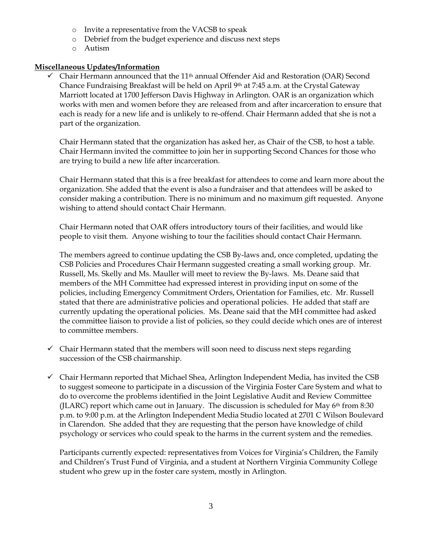- o Invite a representative from the VACSB to speak
- o Debrief from the budget experience and discuss next steps
- o Autism

### **Miscellaneous Updates/Information**

 $\checkmark$  Chair Hermann announced that the 11<sup>th</sup> annual Offender Aid and Restoration (OAR) Second Chance Fundraising Breakfast will be held on April 9th at 7:45 a.m. at the Crystal Gateway Marriott located at 1700 Jefferson Davis Highway in Arlington. OAR is an organization which works with men and women before they are released from and after incarceration to ensure that each is ready for a new life and is unlikely to re-offend. Chair Hermann added that she is not a part of the organization.

Chair Hermann stated that the organization has asked her, as Chair of the CSB, to host a table. Chair Hermann invited the committee to join her in supporting Second Chances for those who are trying to build a new life after incarceration.

Chair Hermann stated that this is a free breakfast for attendees to come and learn more about the organization. She added that the event is also a fundraiser and that attendees will be asked to consider making a contribution. There is no minimum and no maximum gift requested. Anyone wishing to attend should contact Chair Hermann.

Chair Hermann noted that OAR offers introductory tours of their facilities, and would like people to visit them. Anyone wishing to tour the facilities should contact Chair Hermann.

The members agreed to continue updating the CSB By-laws and, once completed, updating the CSB Policies and Procedures Chair Hermann suggested creating a small working group. Mr. Russell, Ms. Skelly and Ms. Mauller will meet to review the By-laws. Ms. Deane said that members of the MH Committee had expressed interest in providing input on some of the policies, including Emergency Commitment Orders, Orientation for Families, etc. Mr. Russell stated that there are administrative policies and operational policies. He added that staff are currently updating the operational policies. Ms. Deane said that the MH committee had asked the committee liaison to provide a list of policies, so they could decide which ones are of interest to committee members.

- $\checkmark$  Chair Hermann stated that the members will soon need to discuss next steps regarding succession of the CSB chairmanship.
- $\checkmark$  Chair Hermann reported that Michael Shea, Arlington Independent Media, has invited the CSB to suggest someone to participate in a discussion of the Virginia Foster Care System and what to do to overcome the problems identified in the Joint Legislative Audit and Review Committee (JLARC) report which came out in January. The discussion is scheduled for May  $6<sup>th</sup>$  from 8:30 p.m. to 9:00 p.m. at the Arlington Independent Media Studio located at 2701 C Wilson Boulevard in Clarendon. She added that they are requesting that the person have knowledge of child psychology or services who could speak to the harms in the current system and the remedies.

Participants currently expected: representatives from Voices for Virginia's Children, the Family and Children's Trust Fund of Virginia, and a student at Northern Virginia Community College student who grew up in the foster care system, mostly in Arlington.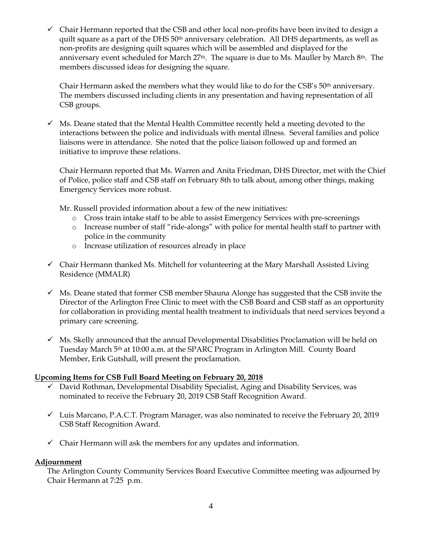$\checkmark$  Chair Hermann reported that the CSB and other local non-profits have been invited to design a quilt square as a part of the DHS  $50<sup>th</sup>$  anniversary celebration. All DHS departments, as well as non-profits are designing quilt squares which will be assembled and displayed for the anniversary event scheduled for March 27<sup>th</sup>. The square is due to Ms. Mauller by March 8<sup>th</sup>. The members discussed ideas for designing the square.

Chair Hermann asked the members what they would like to do for the CSB's 50th anniversary. The members discussed including clients in any presentation and having representation of all CSB groups.

 $\checkmark$  Ms. Deane stated that the Mental Health Committee recently held a meeting devoted to the interactions between the police and individuals with mental illness. Several families and police liaisons were in attendance. She noted that the police liaison followed up and formed an initiative to improve these relations.

Chair Hermann reported that Ms. Warren and Anita Friedman, DHS Director, met with the Chief of Police, police staff and CSB staff on February 8th to talk about, among other things, making Emergency Services more robust.

Mr. Russell provided information about a few of the new initiatives:

- o Cross train intake staff to be able to assist Emergency Services with pre-screenings
- o Increase number of staff "ride-alongs" with police for mental health staff to partner with police in the community
- o Increase utilization of resources already in place
- ✓ Chair Hermann thanked Ms. Mitchell for volunteering at the Mary Marshall Assisted Living Residence (MMALR)
- $\checkmark$  Ms. Deane stated that former CSB member Shauna Alonge has suggested that the CSB invite the Director of the Arlington Free Clinic to meet with the CSB Board and CSB staff as an opportunity for collaboration in providing mental health treatment to individuals that need services beyond a primary care screening.
- $\checkmark$  Ms. Skelly announced that the annual Developmental Disabilities Proclamation will be held on Tuesday March 5<sup>th</sup> at 10:00 a.m. at the SPARC Program in Arlington Mill. County Board Member, Erik Gutshall, will present the proclamation.

## **Upcoming Items for CSB Full Board Meeting on February 20, 2018**

- $\checkmark$  David Rothman, Developmental Disability Specialist, Aging and Disability Services, was nominated to receive the February 20, 2019 CSB Staff Recognition Award.
- $\checkmark$  Luis Marcano, P.A.C.T. Program Manager, was also nominated to receive the February 20, 2019 CSB Staff Recognition Award.
- $\checkmark$  Chair Hermann will ask the members for any updates and information.

## **Adjournment**

The Arlington County Community Services Board Executive Committee meeting was adjourned by Chair Hermann at 7:25 p.m.